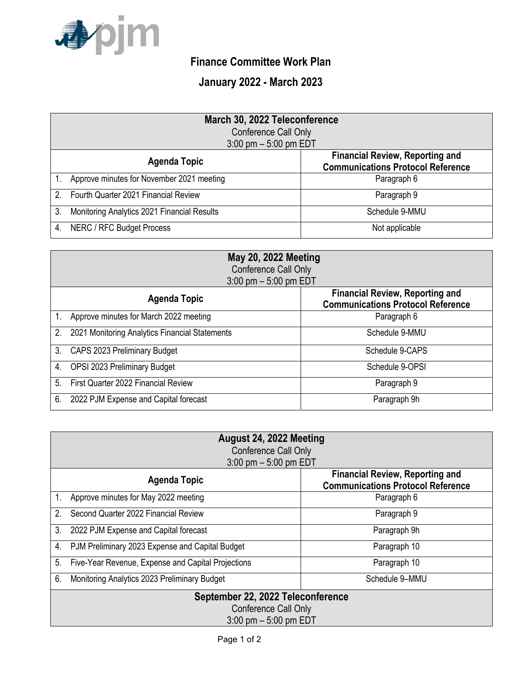

## **Finance Committee Work Plan**

## **January 2022 - March 2023**

|               | March 30, 2022 Teleconference               |                                                                                    |  |
|---------------|---------------------------------------------|------------------------------------------------------------------------------------|--|
|               | Conference Call Only                        |                                                                                    |  |
|               | $3:00$ pm $-5:00$ pm EDT                    |                                                                                    |  |
|               | <b>Agenda Topic</b>                         | <b>Financial Review, Reporting and</b><br><b>Communications Protocol Reference</b> |  |
|               | Approve minutes for November 2021 meeting   | Paragraph 6                                                                        |  |
| $\mathcal{P}$ | Fourth Quarter 2021 Financial Review        | Paragraph 9                                                                        |  |
| 3.            | Monitoring Analytics 2021 Financial Results | Schedule 9-MMU                                                                     |  |
| 4.            | <b>NERC / RFC Budget Process</b>            | Not applicable                                                                     |  |

| <b>May 20, 2022 Meeting</b> |                                                |                                                                                    |  |  |
|-----------------------------|------------------------------------------------|------------------------------------------------------------------------------------|--|--|
|                             | Conference Call Only                           |                                                                                    |  |  |
| $3:00$ pm $-5:00$ pm EDT    |                                                |                                                                                    |  |  |
|                             | <b>Agenda Topic</b>                            | <b>Financial Review, Reporting and</b><br><b>Communications Protocol Reference</b> |  |  |
|                             | Approve minutes for March 2022 meeting         | Paragraph 6                                                                        |  |  |
| 2.                          | 2021 Monitoring Analytics Financial Statements | Schedule 9-MMU                                                                     |  |  |
| 3.                          | CAPS 2023 Preliminary Budget                   | Schedule 9-CAPS                                                                    |  |  |
| 4.                          | OPSI 2023 Preliminary Budget                   | Schedule 9-OPSI                                                                    |  |  |
| 5.                          | First Quarter 2022 Financial Review            | Paragraph 9                                                                        |  |  |
| 6.                          | 2022 PJM Expense and Capital forecast          | Paragraph 9h                                                                       |  |  |

| August 24, 2022 Meeting<br>Conference Call Only<br>$3:00$ pm $-5:00$ pm EDT |                                                                                    |  |
|-----------------------------------------------------------------------------|------------------------------------------------------------------------------------|--|
| <b>Agenda Topic</b>                                                         | <b>Financial Review, Reporting and</b><br><b>Communications Protocol Reference</b> |  |
| Approve minutes for May 2022 meeting<br>1.                                  | Paragraph 6                                                                        |  |
| Second Quarter 2022 Financial Review<br>2.                                  | Paragraph 9                                                                        |  |
| 3.<br>2022 PJM Expense and Capital forecast                                 | Paragraph 9h                                                                       |  |
| PJM Preliminary 2023 Expense and Capital Budget<br>4.                       | Paragraph 10                                                                       |  |
| 5.<br>Five-Year Revenue, Expense and Capital Projections                    | Paragraph 10                                                                       |  |
| 6.<br>Monitoring Analytics 2023 Preliminary Budget                          | Schedule 9-MMU                                                                     |  |
| September 22, 2022 Teleconference                                           |                                                                                    |  |
| Conference Call Only                                                        |                                                                                    |  |
| $3:00$ pm $-5:00$ pm EDT                                                    |                                                                                    |  |